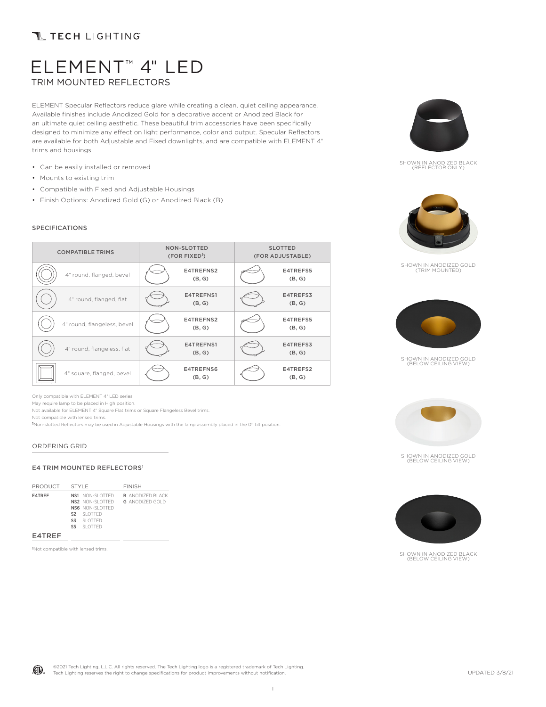# **T TECH LIGHTING**

# ELEMENT™ 4" LED TRIM MOUNTED REFLECTORS

ELEMENT Specular Reflectors reduce glare while creating a clean, quiet ceiling appearance. Available finishes include Anodized Gold for a decorative accent or Anodized Black for an ultimate quiet ceiling aesthetic. These beautiful trim accessories have been specifically designed to minimize any effect on light performance, color and output. Specular Reflectors are available for both Adjustable and Fixed downlights, and are compatible with ELEMENT 4" trims and housings.

- Can be easily installed or removed
- Mounts to existing trim
- Compatible with Fixed and Adjustable Housings
- Finish Options: Anodized Gold (G) or Anodized Black (B)

### SPECIFICATIONS

| <b>COMPATIBLE TRIMS</b>     | <b>NON-SLOTTED</b><br>$(FOR$ FIXED <sup>1</sup> ) |                     | <b>SLOTTED</b><br>(FOR ADJUSTABLE) |                    |
|-----------------------------|---------------------------------------------------|---------------------|------------------------------------|--------------------|
| 4" round, flanged, bevel    |                                                   | E4TREFNS2<br>(B, G) |                                    | E4TREFS5<br>(B, G) |
| 4" round, flanged, flat     |                                                   | E4TREFNS1<br>(B, G) |                                    | E4TREFS3<br>(B, G) |
| 4" round, flangeless, bevel |                                                   | E4TREFNS2<br>(B, G) |                                    | E4TREFS5<br>(B, G) |
| 4" round, flangeless, flat  |                                                   | E4TREFNS1<br>(B, G) |                                    | E4TREFS3<br>(B, G) |
| 4" square, flanged, bevel   |                                                   | E4TREFNS6<br>(B, G) |                                    | E4TREFS2<br>(B, G) |

Only compatible with ELEMENT 4" LED series.

May require lamp to be placed in High position.

Not available for ELEMENT 4" Square Flat trims or Square Flangeless Bevel trims.

Not compatible with lensed trims.

1Non-slotted Reflectors may be used in Adjustable Housings with the lamp assembly placed in the 0° tilt position.

#### ORDERING GRID

### E4 TRIM MOUNTED REFLECTORS<sup>1</sup>

| PRODUCT | STYLE                                                                                                       | <b>FINISH</b>                                     |
|---------|-------------------------------------------------------------------------------------------------------------|---------------------------------------------------|
| E4TREF  | NS1 NON-SLOTTED<br>NS2 NON-SLOTTED<br>NS6 NON-SLOTTED<br>S <sub>2</sub> SLOTTED<br>S3 SLOTTED<br>S5 SLOTTED | <b>B</b> ANODIZED BLACK<br><b>G</b> ANODIZED GOLD |
| E4TREF  |                                                                                                             |                                                   |

1Not compatible with lensed trims.



SHOWN IN ANODIZED BLACK (REFLECTOR ONLY)



SHOWN IN ANODIZED GOLD (TRIM MOUNTED)



SHOWN IN ANODIZED GOLD (BELOW CEILING VIEW)



SHOWN IN ANODIZED GOLD (BELOW CEILING VIEW)



SHOWN IN ANODIZED BLACK (BELOW CEILING VIEW)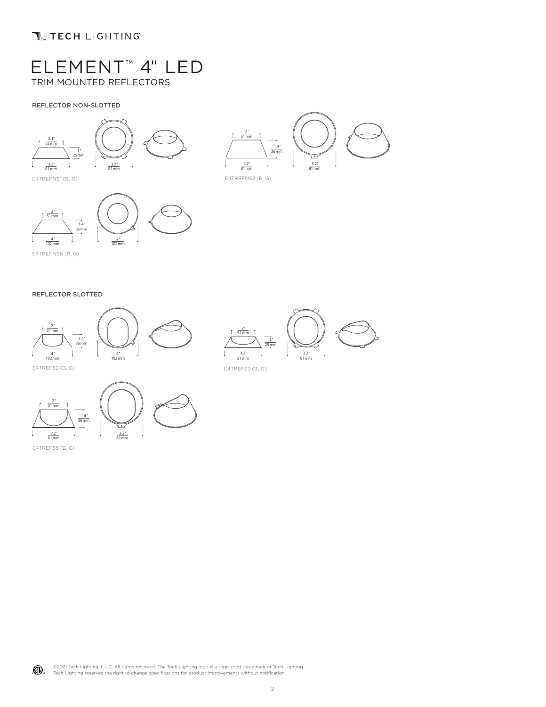## **TECH LIGHTING**

# ELEMENT™ 4" LED TRIM MOUNTED REFLECTORS

### REFLECTOR NON-SLOTTED





E4TREFNS1 (B, G)



E4TREFNS6 (B, G)

### REFLECTOR SLOTTED



3.2" 81mm 1" 25mm  $rac{2^{n}}{51 \text{ mm}}$ 3.2" 81mm





E4TREFS5 (B, G)

©2021 Tech Lighting, L.L.C. All rights reserved. The Tech Lighting logo is a registered trademark of Tech Lighting. (CI) Tech Lighting reserves the right to change specifications for product improvements without notification.